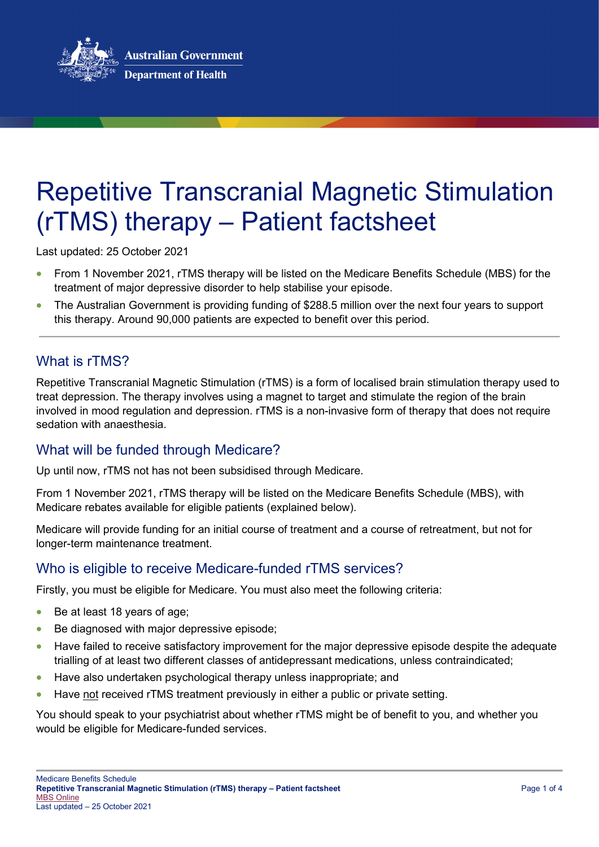

# Repetitive Transcranial Magnetic Stimulation (rTMS) therapy – Patient factsheet

Last updated: 25 October 2021

- From 1 November 2021, rTMS therapy will be listed on the Medicare Benefits Schedule (MBS) for the treatment of major depressive disorder to help stabilise your episode.
- The Australian Government is providing funding of \$288.5 million over the next four years to support this therapy. Around 90,000 patients are expected to benefit over this period.

## What is rTMS?

Repetitive Transcranial Magnetic Stimulation (rTMS) is a form of localised brain stimulation therapy used to treat depression. The therapy involves using a magnet to target and stimulate the region of the brain involved in mood regulation and depression. rTMS is a non-invasive form of therapy that does not require sedation with anaesthesia.

## What will be funded through Medicare?

Up until now, rTMS not has not been subsidised through Medicare.

From 1 November 2021, rTMS therapy will be listed on the Medicare Benefits Schedule (MBS), with Medicare rebates available for eligible patients (explained below).

Medicare will provide funding for an initial course of treatment and a course of retreatment, but not for longer-term maintenance treatment.

# Who is eligible to receive Medicare-funded rTMS services?

Firstly, you must be eligible for Medicare. You must also meet the following criteria:

- Be at least 18 years of age:
- Be diagnosed with major depressive episode;
- Have failed to receive satisfactory improvement for the major depressive episode despite the adequate trialling of at least two different classes of antidepressant medications, unless contraindicated;
- Have also undertaken psychological therapy unless inappropriate; and
- Have not received rTMS treatment previously in either a public or private setting.

You should speak to your psychiatrist about whether rTMS might be of benefit to you, and whether you would be eligible for Medicare-funded services.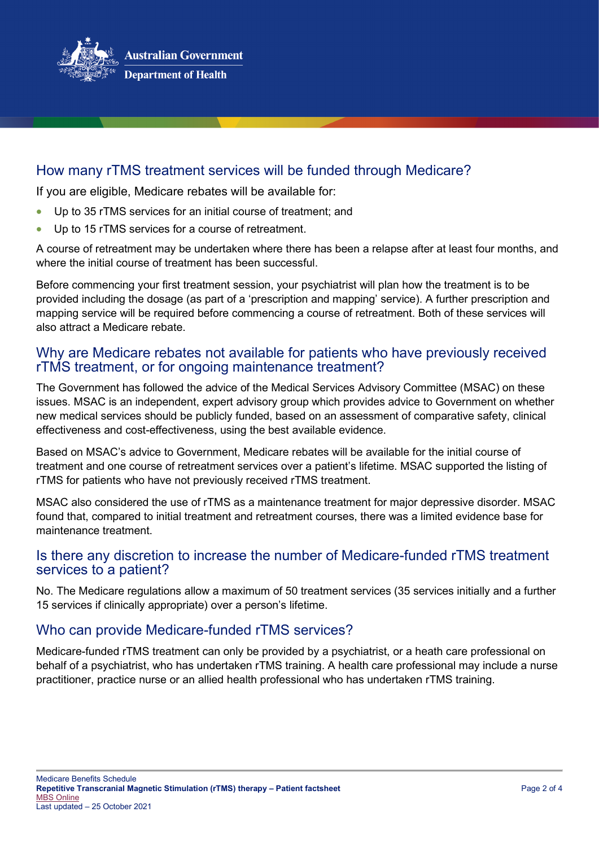

## How many rTMS treatment services will be funded through Medicare?

If you are eligible, Medicare rebates will be available for:

- Up to 35 rTMS services for an initial course of treatment; and
- Up to 15 rTMS services for a course of retreatment.

A course of retreatment may be undertaken where there has been a relapse after at least four months, and where the initial course of treatment has been successful.

Before commencing your first treatment session, your psychiatrist will plan how the treatment is to be provided including the dosage (as part of a 'prescription and mapping' service). A further prescription and mapping service will be required before commencing a course of retreatment. Both of these services will also attract a Medicare rebate.

### Why are Medicare rebates not available for patients who have previously received rTMS treatment, or for ongoing maintenance treatment?

The Government has followed the advice of the Medical Services Advisory Committee (MSAC) on these issues. MSAC is an independent, expert advisory group which provides advice to Government on whether new medical services should be publicly funded, based on an assessment of comparative safety, clinical effectiveness and cost-effectiveness, using the best available evidence.

Based on MSAC's advice to Government, Medicare rebates will be available for the initial course of treatment and one course of retreatment services over a patient's lifetime. MSAC supported the listing of rTMS for patients who have not previously received rTMS treatment.

MSAC also considered the use of rTMS as a maintenance treatment for major depressive disorder. MSAC found that, compared to initial treatment and retreatment courses, there was a limited evidence base for maintenance treatment.

## Is there any discretion to increase the number of Medicare-funded rTMS treatment services to a patient?

No. The Medicare regulations allow a maximum of 50 treatment services (35 services initially and a further 15 services if clinically appropriate) over a person's lifetime.

## Who can provide Medicare-funded rTMS services?

Medicare-funded rTMS treatment can only be provided by a psychiatrist, or a heath care professional on behalf of a psychiatrist, who has undertaken rTMS training. A health care professional may include a nurse practitioner, practice nurse or an allied health professional who has undertaken rTMS training.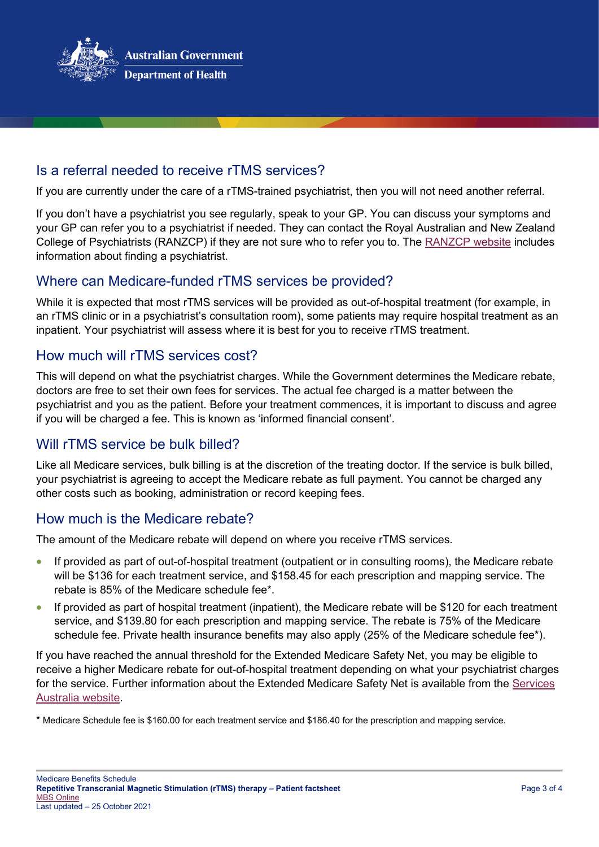

# Is a referral needed to receive rTMS services?

If you are currently under the care of a rTMS-trained psychiatrist, then you will not need another referral.

If you don't have a psychiatrist you see regularly, speak to your GP. You can discuss your symptoms and your GP can refer you to a psychiatrist if needed. They can contact the Royal Australian and New Zealand College of Psychiatrists (RANZCP) if they are not sure who to refer you to. The [RANZCP website](https://www.yourhealthinmind.org/find-a-psychiatrist) includes information about finding a psychiatrist.

## Where can Medicare-funded rTMS services be provided?

While it is expected that most rTMS services will be provided as out-of-hospital treatment (for example, in an rTMS clinic or in a psychiatrist's consultation room), some patients may require hospital treatment as an inpatient. Your psychiatrist will assess where it is best for you to receive rTMS treatment.

## How much will rTMS services cost?

This will depend on what the psychiatrist charges. While the Government determines the Medicare rebate, doctors are free to set their own fees for services. The actual fee charged is a matter between the psychiatrist and you as the patient. Before your treatment commences, it is important to discuss and agree if you will be charged a fee. This is known as 'informed financial consent'.

# Will rTMS service be bulk billed?

Like all Medicare services, bulk billing is at the discretion of the treating doctor. If the service is bulk billed, your psychiatrist is agreeing to accept the Medicare rebate as full payment. You cannot be charged any other costs such as booking, administration or record keeping fees.

# How much is the Medicare rebate?

The amount of the Medicare rebate will depend on where you receive rTMS services.

- If provided as part of out-of-hospital treatment (outpatient or in consulting rooms), the Medicare rebate will be \$136 for each treatment service, and \$158.45 for each prescription and mapping service. The rebate is 85% of the Medicare schedule fee\*.
- If provided as part of hospital treatment (inpatient), the Medicare rebate will be \$120 for each treatment service, and \$139.80 for each prescription and mapping service. The rebate is 75% of the Medicare schedule fee. Private health insurance benefits may also apply (25% of the Medicare schedule fee\*).

If you have reached the annual threshold for the Extended Medicare Safety Net, you may be eligible to receive a higher Medicare rebate for out-of-hospital treatment depending on what your psychiatrist charges for the service. Further information about the Extended Medicare Safety Net is available from the [Services](https://www.servicesaustralia.gov.au/individuals/services/medicare/medicare-safety-nets/how-they-work/extended-medicare-safety-net)  [Australia website.](https://www.servicesaustralia.gov.au/individuals/services/medicare/medicare-safety-nets/how-they-work/extended-medicare-safety-net)

\* Medicare Schedule fee is \$160.00 for each treatment service and \$186.40 for the prescription and mapping service.